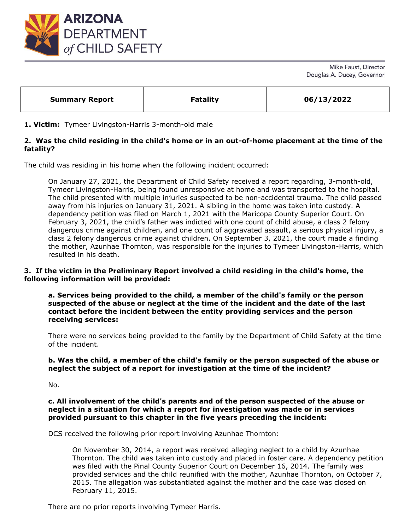

Mike Faust, Director Douglas A. Ducey, Governor

| <b>Fatality</b><br>06/13/2022<br><b>Summary Report</b> |
|--------------------------------------------------------|
|--------------------------------------------------------|

#### **1. Victim:** Tymeer Livingston-Harris 3-month-old male

# **2. Was the child residing in the child's home or in an out-of-home placement at the time of the fatality?**

The child was residing in his home when the following incident occurred:

On January 27, 2021, the Department of Child Safety received a report regarding, 3-month-old, Tymeer Livingston-Harris, being found unresponsive at home and was transported to the hospital. The child presented with multiple injuries suspected to be non-accidental trauma. The child passed away from his injuries on January 31, 2021. A sibling in the home was taken into custody. A dependency petition was filed on March 1, 2021 with the Maricopa County Superior Court. On February 3, 2021, the child's father was indicted with one count of child abuse, a class 2 felony dangerous crime against children, and one count of aggravated assault, a serious physical injury, a class 2 felony dangerous crime against children. On September 3, 2021, the court made a finding the mother, Azunhae Thornton, was responsible for the injuries to Tymeer Livingston-Harris, which resulted in his death.

## **3. If the victim in the Preliminary Report involved a child residing in the child's home, the following information will be provided:**

**a. Services being provided to the child, a member of the child's family or the person suspected of the abuse or neglect at the time of the incident and the date of the last contact before the incident between the entity providing services and the person receiving services:** 

There were no services being provided to the family by the Department of Child Safety at the time of the incident.

#### **b. Was the child, a member of the child's family or the person suspected of the abuse or neglect the subject of a report for investigation at the time of the incident?**

No.

#### **c. All involvement of the child's parents and of the person suspected of the abuse or neglect in a situation for which a report for investigation was made or in services provided pursuant to this chapter in the five years preceding the incident:**

DCS received the following prior report involving Azunhae Thornton:

On November 30, 2014, a report was received alleging neglect to a child by Azunhae Thornton. The child was taken into custody and placed in foster care. A dependency petition was filed with the Pinal County Superior Court on December 16, 2014. The family was provided services and the child reunified with the mother, Azunhae Thornton, on October 7, 2015. The allegation was substantiated against the mother and the case was closed on February 11, 2015.

There are no prior reports involving Tymeer Harris.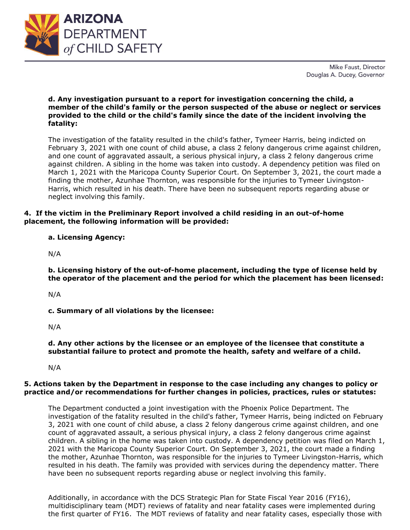

Mike Faust, Director Douglas A. Ducey, Governor

## **d. Any investigation pursuant to a report for investigation concerning the child, a member of the child's family or the person suspected of the abuse or neglect or services provided to the child or the child's family since the date of the incident involving the fatality:**

The investigation of the fatality resulted in the child's father, Tymeer Harris, being indicted on February 3, 2021 with one count of child abuse, a class 2 felony dangerous crime against children, and one count of aggravated assault, a serious physical injury, a class 2 felony dangerous crime against children. A sibling in the home was taken into custody. A dependency petition was filed on March 1, 2021 with the Maricopa County Superior Court. On September 3, 2021, the court made a finding the mother, Azunhae Thornton, was responsible for the injuries to Tymeer Livingston-Harris, which resulted in his death. There have been no subsequent reports regarding abuse or neglect involving this family.

## **4. If the victim in the Preliminary Report involved a child residing in an out-of-home placement, the following information will be provided:**

**a. Licensing Agency:** 

N/A

**b. Licensing history of the out-of-home placement, including the type of license held by the operator of the placement and the period for which the placement has been licensed:** 

N/A

**c. Summary of all violations by the licensee:** 

N/A

**d. Any other actions by the licensee or an employee of the licensee that constitute a substantial failure to protect and promote the health, safety and welfare of a child.**

N/A

## **5. Actions taken by the Department in response to the case including any changes to policy or practice and/or recommendations for further changes in policies, practices, rules or statutes:**

The Department conducted a joint investigation with the Phoenix Police Department. The investigation of the fatality resulted in the child's father, Tymeer Harris, being indicted on February 3, 2021 with one count of child abuse, a class 2 felony dangerous crime against children, and one count of aggravated assault, a serious physical injury, a class 2 felony dangerous crime against children. A sibling in the home was taken into custody. A dependency petition was filed on March 1, 2021 with the Maricopa County Superior Court. On September 3, 2021, the court made a finding the mother, Azunhae Thornton, was responsible for the injuries to Tymeer Livingston-Harris, which resulted in his death. The family was provided with services during the dependency matter. There have been no subsequent reports regarding abuse or neglect involving this family.

Additionally, in accordance with the DCS Strategic Plan for State Fiscal Year 2016 (FY16), multidisciplinary team (MDT) reviews of fatality and near fatality cases were implemented during the first quarter of FY16. The MDT reviews of fatality and near fatality cases, especially those with